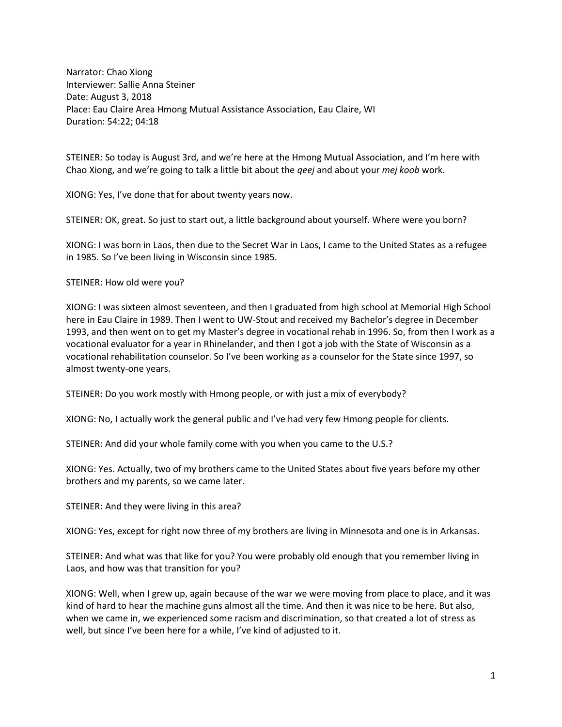Narrator: Chao Xiong Interviewer: Sallie Anna Steiner Date: August 3, 2018 Place: Eau Claire Area Hmong Mutual Assistance Association, Eau Claire, WI Duration: 54:22; 04:18

STEINER: So today is August 3rd, and we're here at the Hmong Mutual Association, and I'm here with Chao Xiong, and we're going to talk a little bit about the *qeej* and about your *mej koob* work.

XIONG: Yes, I've done that for about twenty years now.

STEINER: OK, great. So just to start out, a little background about yourself. Where were you born?

XIONG: I was born in Laos, then due to the Secret War in Laos, I came to the United States as a refugee in 1985. So I've been living in Wisconsin since 1985.

STEINER: How old were you?

XIONG: I was sixteen almost seventeen, and then I graduated from high school at Memorial High School here in Eau Claire in 1989. Then I went to UW-Stout and received my Bachelor's degree in December 1993, and then went on to get my Master's degree in vocational rehab in 1996. So, from then I work as a vocational evaluator for a year in Rhinelander, and then I got a job with the State of Wisconsin as a vocational rehabilitation counselor. So I've been working as a counselor for the State since 1997, so almost twenty-one years.

STEINER: Do you work mostly with Hmong people, or with just a mix of everybody?

XIONG: No, I actually work the general public and I've had very few Hmong people for clients.

STEINER: And did your whole family come with you when you came to the U.S.?

XIONG: Yes. Actually, two of my brothers came to the United States about five years before my other brothers and my parents, so we came later.

STEINER: And they were living in this area?

XIONG: Yes, except for right now three of my brothers are living in Minnesota and one is in Arkansas.

STEINER: And what was that like for you? You were probably old enough that you remember living in Laos, and how was that transition for you?

XIONG: Well, when I grew up, again because of the war we were moving from place to place, and it was kind of hard to hear the machine guns almost all the time. And then it was nice to be here. But also, when we came in, we experienced some racism and discrimination, so that created a lot of stress as well, but since I've been here for a while, I've kind of adjusted to it.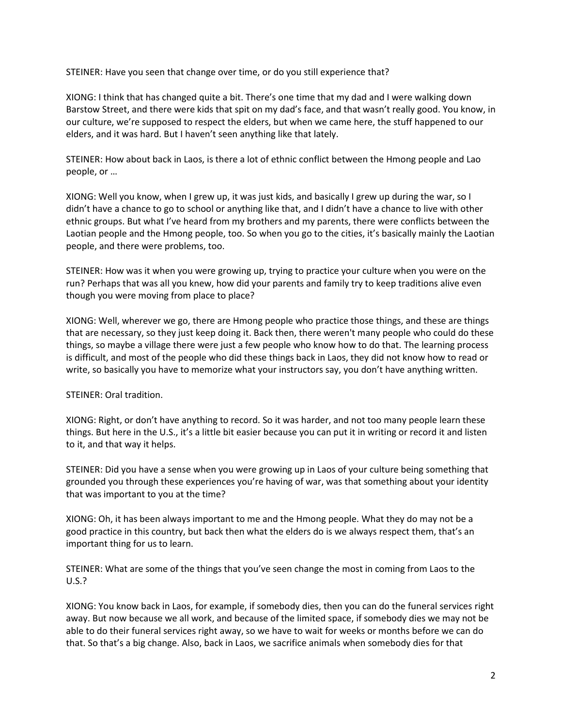STEINER: Have you seen that change over time, or do you still experience that?

XIONG: I think that has changed quite a bit. There's one time that my dad and I were walking down Barstow Street, and there were kids that spit on my dad's face, and that wasn't really good. You know, in our culture, we're supposed to respect the elders, but when we came here, the stuff happened to our elders, and it was hard. But I haven't seen anything like that lately.

STEINER: How about back in Laos, is there a lot of ethnic conflict between the Hmong people and Lao people, or …

XIONG: Well you know, when I grew up, it was just kids, and basically I grew up during the war, so I didn't have a chance to go to school or anything like that, and I didn't have a chance to live with other ethnic groups. But what I've heard from my brothers and my parents, there were conflicts between the Laotian people and the Hmong people, too. So when you go to the cities, it's basically mainly the Laotian people, and there were problems, too.

STEINER: How was it when you were growing up, trying to practice your culture when you were on the run? Perhaps that was all you knew, how did your parents and family try to keep traditions alive even though you were moving from place to place?

XIONG: Well, wherever we go, there are Hmong people who practice those things, and these are things that are necessary, so they just keep doing it. Back then, there weren't many people who could do these things, so maybe a village there were just a few people who know how to do that. The learning process is difficult, and most of the people who did these things back in Laos, they did not know how to read or write, so basically you have to memorize what your instructors say, you don't have anything written.

STEINER: Oral tradition.

XIONG: Right, or don't have anything to record. So it was harder, and not too many people learn these things. But here in the U.S., it's a little bit easier because you can put it in writing or record it and listen to it, and that way it helps.

STEINER: Did you have a sense when you were growing up in Laos of your culture being something that grounded you through these experiences you're having of war, was that something about your identity that was important to you at the time?

XIONG: Oh, it has been always important to me and the Hmong people. What they do may not be a good practice in this country, but back then what the elders do is we always respect them, that's an important thing for us to learn.

STEINER: What are some of the things that you've seen change the most in coming from Laos to the U.S.?

XIONG: You know back in Laos, for example, if somebody dies, then you can do the funeral services right away. But now because we all work, and because of the limited space, if somebody dies we may not be able to do their funeral services right away, so we have to wait for weeks or months before we can do that. So that's a big change. Also, back in Laos, we sacrifice animals when somebody dies for that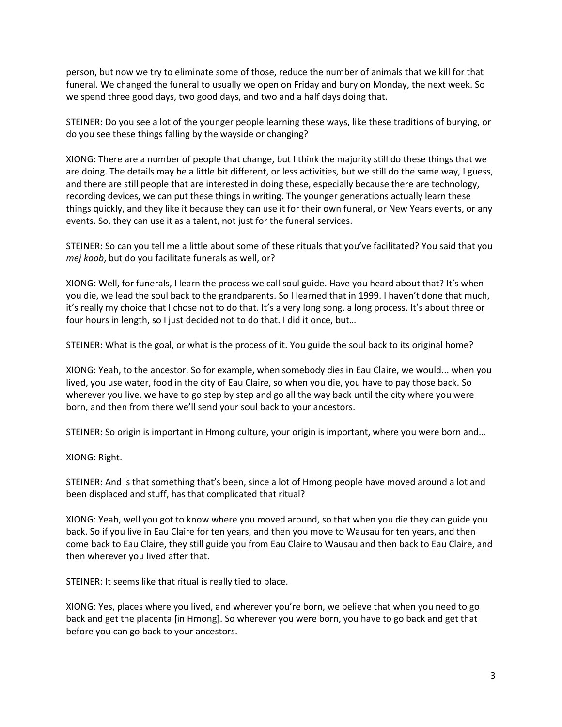person, but now we try to eliminate some of those, reduce the number of animals that we kill for that funeral. We changed the funeral to usually we open on Friday and bury on Monday, the next week. So we spend three good days, two good days, and two and a half days doing that.

STEINER: Do you see a lot of the younger people learning these ways, like these traditions of burying, or do you see these things falling by the wayside or changing?

XIONG: There are a number of people that change, but I think the majority still do these things that we are doing. The details may be a little bit different, or less activities, but we still do the same way, I guess, and there are still people that are interested in doing these, especially because there are technology, recording devices, we can put these things in writing. The younger generations actually learn these things quickly, and they like it because they can use it for their own funeral, or New Years events, or any events. So, they can use it as a talent, not just for the funeral services.

STEINER: So can you tell me a little about some of these rituals that you've facilitated? You said that you *mej koob*, but do you facilitate funerals as well, or?

XIONG: Well, for funerals, I learn the process we call soul guide. Have you heard about that? It's when you die, we lead the soul back to the grandparents. So I learned that in 1999. I haven't done that much, it's really my choice that I chose not to do that. It's a very long song, a long process. It's about three or four hours in length, so I just decided not to do that. I did it once, but…

STEINER: What is the goal, or what is the process of it. You guide the soul back to its original home?

XIONG: Yeah, to the ancestor. So for example, when somebody dies in Eau Claire, we would... when you lived, you use water, food in the city of Eau Claire, so when you die, you have to pay those back. So wherever you live, we have to go step by step and go all the way back until the city where you were born, and then from there we'll send your soul back to your ancestors.

STEINER: So origin is important in Hmong culture, your origin is important, where you were born and…

XIONG: Right.

STEINER: And is that something that's been, since a lot of Hmong people have moved around a lot and been displaced and stuff, has that complicated that ritual?

XIONG: Yeah, well you got to know where you moved around, so that when you die they can guide you back. So if you live in Eau Claire for ten years, and then you move to Wausau for ten years, and then come back to Eau Claire, they still guide you from Eau Claire to Wausau and then back to Eau Claire, and then wherever you lived after that.

STEINER: It seems like that ritual is really tied to place.

XIONG: Yes, places where you lived, and wherever you're born, we believe that when you need to go back and get the placenta [in Hmong]. So wherever you were born, you have to go back and get that before you can go back to your ancestors.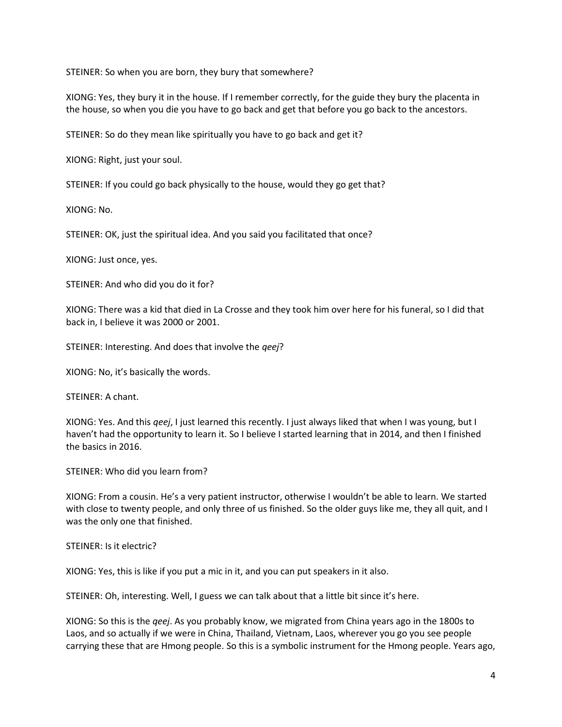STEINER: So when you are born, they bury that somewhere?

XIONG: Yes, they bury it in the house. If I remember correctly, for the guide they bury the placenta in the house, so when you die you have to go back and get that before you go back to the ancestors.

STEINER: So do they mean like spiritually you have to go back and get it?

XIONG: Right, just your soul.

STEINER: If you could go back physically to the house, would they go get that?

XIONG: No.

STEINER: OK, just the spiritual idea. And you said you facilitated that once?

XIONG: Just once, yes.

STEINER: And who did you do it for?

XIONG: There was a kid that died in La Crosse and they took him over here for his funeral, so I did that back in, I believe it was 2000 or 2001.

STEINER: Interesting. And does that involve the *qeej*?

XIONG: No, it's basically the words.

STEINER: A chant.

XIONG: Yes. And this *qeej*, I just learned this recently. I just always liked that when I was young, but I haven't had the opportunity to learn it. So I believe I started learning that in 2014, and then I finished the basics in 2016.

STEINER: Who did you learn from?

XIONG: From a cousin. He's a very patient instructor, otherwise I wouldn't be able to learn. We started with close to twenty people, and only three of us finished. So the older guys like me, they all quit, and I was the only one that finished.

STEINER: Is it electric?

XIONG: Yes, this is like if you put a mic in it, and you can put speakers in it also.

STEINER: Oh, interesting. Well, I guess we can talk about that a little bit since it's here.

XIONG: So this is the *qeej*. As you probably know, we migrated from China years ago in the 1800s to Laos, and so actually if we were in China, Thailand, Vietnam, Laos, wherever you go you see people carrying these that are Hmong people. So this is a symbolic instrument for the Hmong people. Years ago,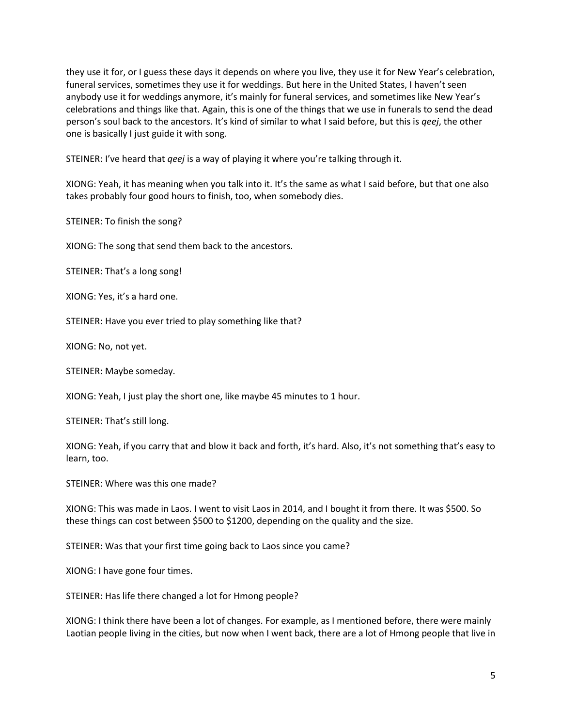they use it for, or I guess these days it depends on where you live, they use it for New Year's celebration, funeral services, sometimes they use it for weddings. But here in the United States, I haven't seen anybody use it for weddings anymore, it's mainly for funeral services, and sometimes like New Year's celebrations and things like that. Again, this is one of the things that we use in funerals to send the dead person's soul back to the ancestors. It's kind of similar to what I said before, but this is *qeej*, the other one is basically I just guide it with song.

STEINER: I've heard that *qeej* is a way of playing it where you're talking through it.

XIONG: Yeah, it has meaning when you talk into it. It's the same as what I said before, but that one also takes probably four good hours to finish, too, when somebody dies.

STEINER: To finish the song?

XIONG: The song that send them back to the ancestors.

STEINER: That's a long song!

XIONG: Yes, it's a hard one.

STEINER: Have you ever tried to play something like that?

XIONG: No, not yet.

STEINER: Maybe someday.

XIONG: Yeah, I just play the short one, like maybe 45 minutes to 1 hour.

STEINER: That's still long.

XIONG: Yeah, if you carry that and blow it back and forth, it's hard. Also, it's not something that's easy to learn, too.

STEINER: Where was this one made?

XIONG: This was made in Laos. I went to visit Laos in 2014, and I bought it from there. It was \$500. So these things can cost between \$500 to \$1200, depending on the quality and the size.

STEINER: Was that your first time going back to Laos since you came?

XIONG: I have gone four times.

STEINER: Has life there changed a lot for Hmong people?

XIONG: I think there have been a lot of changes. For example, as I mentioned before, there were mainly Laotian people living in the cities, but now when I went back, there are a lot of Hmong people that live in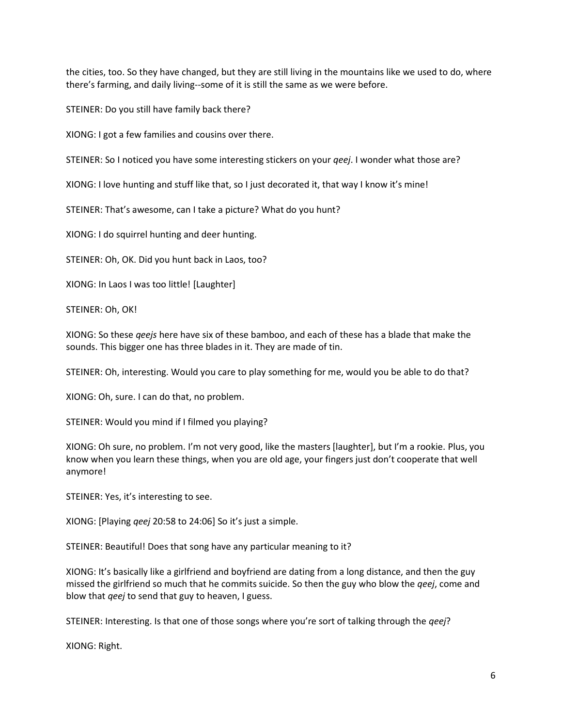the cities, too. So they have changed, but they are still living in the mountains like we used to do, where there's farming, and daily living--some of it is still the same as we were before.

STEINER: Do you still have family back there?

XIONG: I got a few families and cousins over there.

STEINER: So I noticed you have some interesting stickers on your *qeej*. I wonder what those are?

XIONG: I love hunting and stuff like that, so I just decorated it, that way I know it's mine!

STEINER: That's awesome, can I take a picture? What do you hunt?

XIONG: I do squirrel hunting and deer hunting.

STEINER: Oh, OK. Did you hunt back in Laos, too?

XIONG: In Laos I was too little! [Laughter]

STEINER: Oh, OK!

XIONG: So these *qeejs* here have six of these bamboo, and each of these has a blade that make the sounds. This bigger one has three blades in it. They are made of tin.

STEINER: Oh, interesting. Would you care to play something for me, would you be able to do that?

XIONG: Oh, sure. I can do that, no problem.

STEINER: Would you mind if I filmed you playing?

XIONG: Oh sure, no problem. I'm not very good, like the masters [laughter], but I'm a rookie. Plus, you know when you learn these things, when you are old age, your fingers just don't cooperate that well anymore!

STEINER: Yes, it's interesting to see.

XIONG: [Playing *qeej* 20:58 to 24:06] So it's just a simple.

STEINER: Beautiful! Does that song have any particular meaning to it?

XIONG: It's basically like a girlfriend and boyfriend are dating from a long distance, and then the guy missed the girlfriend so much that he commits suicide. So then the guy who blow the *qeej*, come and blow that *qeej* to send that guy to heaven, I guess.

STEINER: Interesting. Is that one of those songs where you're sort of talking through the *qeej*?

XIONG: Right.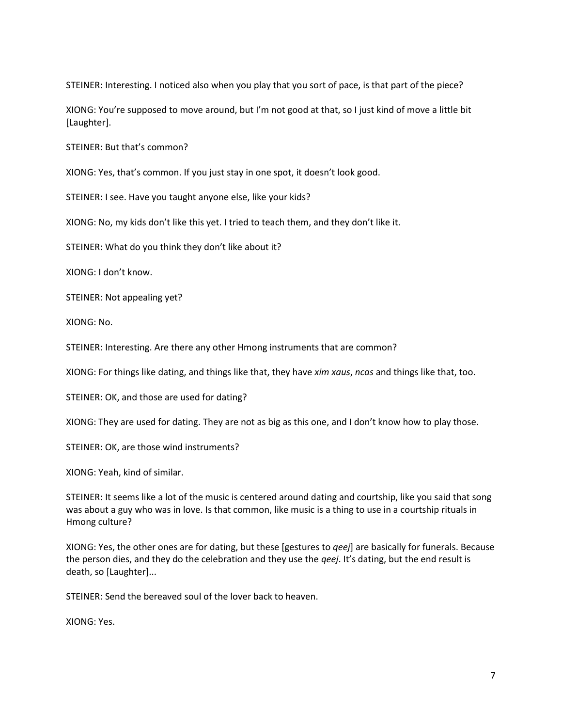STEINER: Interesting. I noticed also when you play that you sort of pace, is that part of the piece?

XIONG: You're supposed to move around, but I'm not good at that, so I just kind of move a little bit [Laughter].

STEINER: But that's common?

XIONG: Yes, that's common. If you just stay in one spot, it doesn't look good.

STEINER: I see. Have you taught anyone else, like your kids?

XIONG: No, my kids don't like this yet. I tried to teach them, and they don't like it.

STEINER: What do you think they don't like about it?

XIONG: I don't know.

STEINER: Not appealing yet?

XIONG: No.

STEINER: Interesting. Are there any other Hmong instruments that are common?

XIONG: For things like dating, and things like that, they have *xim xaus*, *ncas* and things like that, too.

STEINER: OK, and those are used for dating?

XIONG: They are used for dating. They are not as big as this one, and I don't know how to play those.

STEINER: OK, are those wind instruments?

XIONG: Yeah, kind of similar.

STEINER: It seems like a lot of the music is centered around dating and courtship, like you said that song was about a guy who was in love. Is that common, like music is a thing to use in a courtship rituals in Hmong culture?

XIONG: Yes, the other ones are for dating, but these [gestures to *qeej*] are basically for funerals. Because the person dies, and they do the celebration and they use the *qeej*. It's dating, but the end result is death, so [Laughter]...

STEINER: Send the bereaved soul of the lover back to heaven.

XIONG: Yes.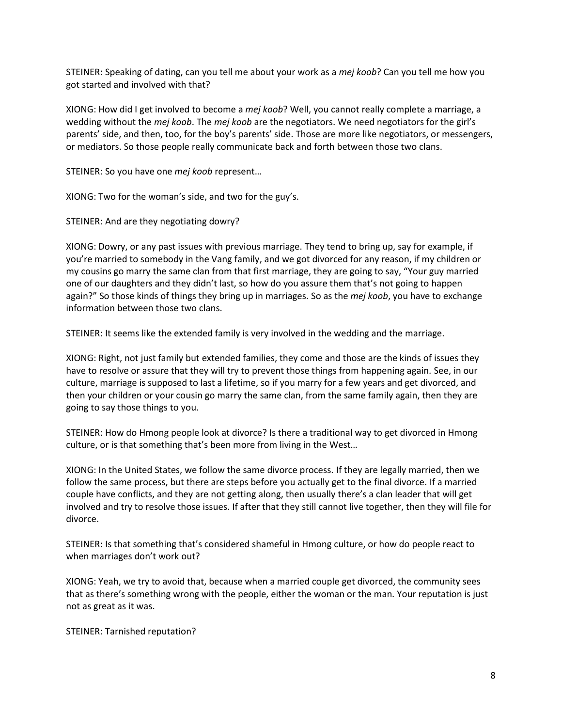STEINER: Speaking of dating, can you tell me about your work as a *mej koob*? Can you tell me how you got started and involved with that?

XIONG: How did I get involved to become a *mej koob*? Well, you cannot really complete a marriage, a wedding without the *mej koob*. The *mej koob* are the negotiators. We need negotiators for the girl's parents' side, and then, too, for the boy's parents' side. Those are more like negotiators, or messengers, or mediators. So those people really communicate back and forth between those two clans.

STEINER: So you have one *mej koob* represent…

XIONG: Two for the woman's side, and two for the guy's.

STEINER: And are they negotiating dowry?

XIONG: Dowry, or any past issues with previous marriage. They tend to bring up, say for example, if you're married to somebody in the Vang family, and we got divorced for any reason, if my children or my cousins go marry the same clan from that first marriage, they are going to say, "Your guy married one of our daughters and they didn't last, so how do you assure them that's not going to happen again?" So those kinds of things they bring up in marriages. So as the *mej koob*, you have to exchange information between those two clans.

STEINER: It seems like the extended family is very involved in the wedding and the marriage.

XIONG: Right, not just family but extended families, they come and those are the kinds of issues they have to resolve or assure that they will try to prevent those things from happening again. See, in our culture, marriage is supposed to last a lifetime, so if you marry for a few years and get divorced, and then your children or your cousin go marry the same clan, from the same family again, then they are going to say those things to you.

STEINER: How do Hmong people look at divorce? Is there a traditional way to get divorced in Hmong culture, or is that something that's been more from living in the West…

XIONG: In the United States, we follow the same divorce process. If they are legally married, then we follow the same process, but there are steps before you actually get to the final divorce. If a married couple have conflicts, and they are not getting along, then usually there's a clan leader that will get involved and try to resolve those issues. If after that they still cannot live together, then they will file for divorce.

STEINER: Is that something that's considered shameful in Hmong culture, or how do people react to when marriages don't work out?

XIONG: Yeah, we try to avoid that, because when a married couple get divorced, the community sees that as there's something wrong with the people, either the woman or the man. Your reputation is just not as great as it was.

STEINER: Tarnished reputation?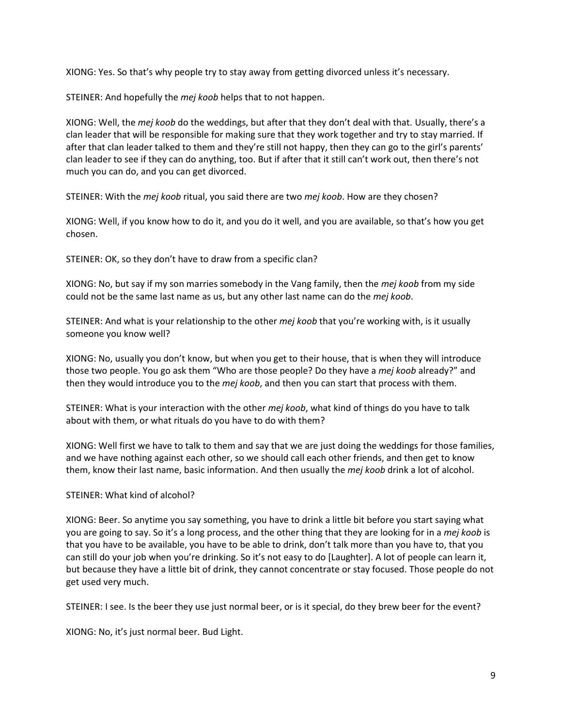XIONG: Yes. So that's why people try to stay away from getting divorced unless it's necessary.

STEINER: And hopefully the *mej koob* helps that to not happen.

XIONG: Well, the *mej koob* do the weddings, but after that they don't deal with that. Usually, there's a clan leader that will be responsible for making sure that they work together and try to stay married. If after that clan leader talked to them and they're still not happy, then they can go to the girl's parents' clan leader to see if they can do anything, too. But if after that it still can't work out, then there's not much you can do, and you can get divorced.

STEINER: With the *mej koob* ritual, you said there are two *mej koob*. How are they chosen?

XIONG: Well, if you know how to do it, and you do it well, and you are available, so that's how you get chosen.

STEINER: OK, so they don't have to draw from a specific clan?

XIONG: No, but say if my son marries somebody in the Vang family, then the *mej koob* from my side could not be the same last name as us, but any other last name can do the *mej koob*.

STEINER: And what is your relationship to the other *mej koob* that you're working with, is it usually someone you know well?

XIONG: No, usually you don't know, but when you get to their house, that is when they will introduce those two people. You go ask them "Who are those people? Do they have a *mej koob* already?" and then they would introduce you to the *mej koob*, and then you can start that process with them.

STEINER: What is your interaction with the other *mej koob*, what kind of things do you have to talk about with them, or what rituals do you have to do with them?

XIONG: Well first we have to talk to them and say that we are just doing the weddings for those families, and we have nothing against each other, so we should call each other friends, and then get to know them, know their last name, basic information. And then usually the *mej koob* drink a lot of alcohol.

## STEINER: What kind of alcohol?

XIONG: Beer. So anytime you say something, you have to drink a little bit before you start saying what you are going to say. So it's a long process, and the other thing that they are looking for in a *mej koob* is that you have to be available, you have to be able to drink, don't talk more than you have to, that you can still do your job when you're drinking. So it's not easy to do [Laughter]. A lot of people can learn it, but because they have a little bit of drink, they cannot concentrate or stay focused. Those people do not get used very much.

STEINER: I see. Is the beer they use just normal beer, or is it special, do they brew beer for the event?

XIONG: No, it's just normal beer. Bud Light.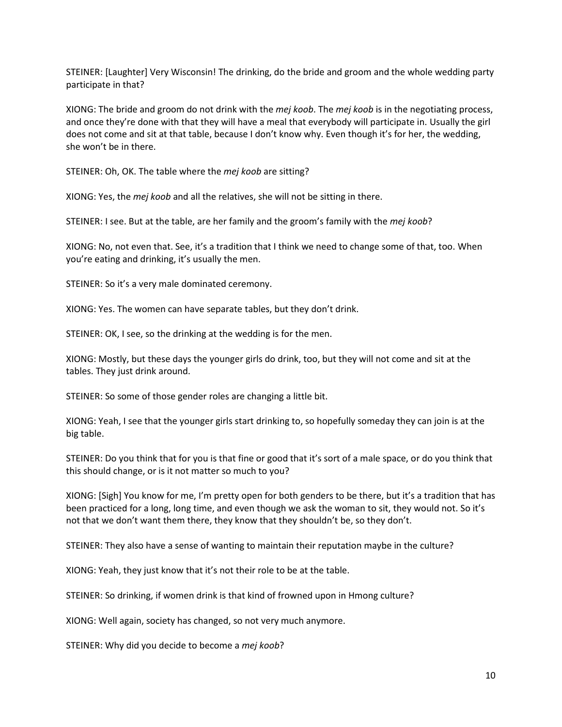STEINER: [Laughter] Very Wisconsin! The drinking, do the bride and groom and the whole wedding party participate in that?

XIONG: The bride and groom do not drink with the *mej koob*. The *mej koob* is in the negotiating process, and once they're done with that they will have a meal that everybody will participate in. Usually the girl does not come and sit at that table, because I don't know why. Even though it's for her, the wedding, she won't be in there.

STEINER: Oh, OK. The table where the *mej koob* are sitting?

XIONG: Yes, the *mej koob* and all the relatives, she will not be sitting in there.

STEINER: I see. But at the table, are her family and the groom's family with the *mej koob*?

XIONG: No, not even that. See, it's a tradition that I think we need to change some of that, too. When you're eating and drinking, it's usually the men.

STEINER: So it's a very male dominated ceremony.

XIONG: Yes. The women can have separate tables, but they don't drink.

STEINER: OK, I see, so the drinking at the wedding is for the men.

XIONG: Mostly, but these days the younger girls do drink, too, but they will not come and sit at the tables. They just drink around.

STEINER: So some of those gender roles are changing a little bit.

XIONG: Yeah, I see that the younger girls start drinking to, so hopefully someday they can join is at the big table.

STEINER: Do you think that for you is that fine or good that it's sort of a male space, or do you think that this should change, or is it not matter so much to you?

XIONG: [Sigh] You know for me, I'm pretty open for both genders to be there, but it's a tradition that has been practiced for a long, long time, and even though we ask the woman to sit, they would not. So it's not that we don't want them there, they know that they shouldn't be, so they don't.

STEINER: They also have a sense of wanting to maintain their reputation maybe in the culture?

XIONG: Yeah, they just know that it's not their role to be at the table.

STEINER: So drinking, if women drink is that kind of frowned upon in Hmong culture?

XIONG: Well again, society has changed, so not very much anymore.

STEINER: Why did you decide to become a *mej koob*?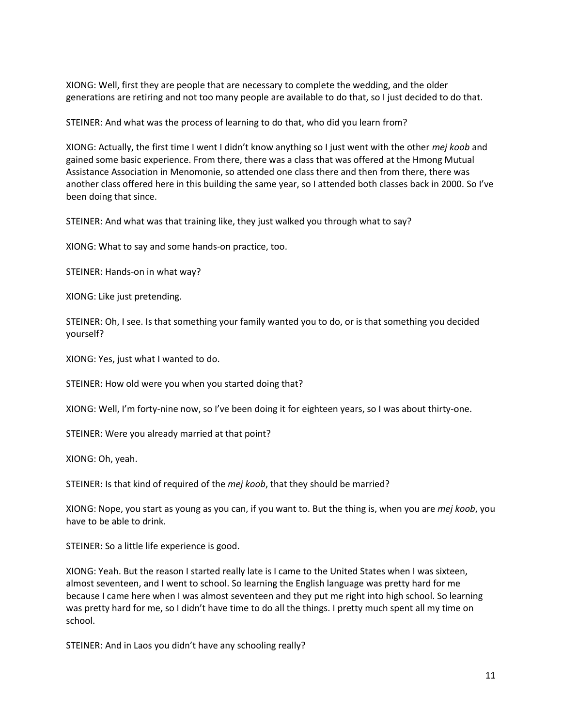XIONG: Well, first they are people that are necessary to complete the wedding, and the older generations are retiring and not too many people are available to do that, so I just decided to do that.

STEINER: And what was the process of learning to do that, who did you learn from?

XIONG: Actually, the first time I went I didn't know anything so I just went with the other *mej koob* and gained some basic experience. From there, there was a class that was offered at the Hmong Mutual Assistance Association in Menomonie, so attended one class there and then from there, there was another class offered here in this building the same year, so I attended both classes back in 2000. So I've been doing that since.

STEINER: And what was that training like, they just walked you through what to say?

XIONG: What to say and some hands-on practice, too.

STEINER: Hands-on in what way?

XIONG: Like just pretending.

STEINER: Oh, I see. Is that something your family wanted you to do, or is that something you decided yourself?

XIONG: Yes, just what I wanted to do.

STEINER: How old were you when you started doing that?

XIONG: Well, I'm forty-nine now, so I've been doing it for eighteen years, so I was about thirty-one.

STEINER: Were you already married at that point?

XIONG: Oh, yeah.

STEINER: Is that kind of required of the *mej koob*, that they should be married?

XIONG: Nope, you start as young as you can, if you want to. But the thing is, when you are *mej koob*, you have to be able to drink.

STEINER: So a little life experience is good.

XIONG: Yeah. But the reason I started really late is I came to the United States when I was sixteen, almost seventeen, and I went to school. So learning the English language was pretty hard for me because I came here when I was almost seventeen and they put me right into high school. So learning was pretty hard for me, so I didn't have time to do all the things. I pretty much spent all my time on school.

STEINER: And in Laos you didn't have any schooling really?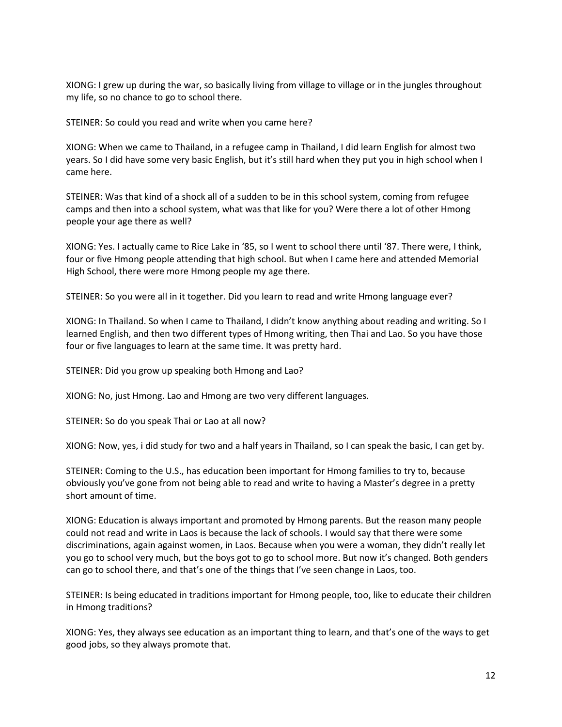XIONG: I grew up during the war, so basically living from village to village or in the jungles throughout my life, so no chance to go to school there.

STEINER: So could you read and write when you came here?

XIONG: When we came to Thailand, in a refugee camp in Thailand, I did learn English for almost two years. So I did have some very basic English, but it's still hard when they put you in high school when I came here.

STEINER: Was that kind of a shock all of a sudden to be in this school system, coming from refugee camps and then into a school system, what was that like for you? Were there a lot of other Hmong people your age there as well?

XIONG: Yes. I actually came to Rice Lake in '85, so I went to school there until '87. There were, I think, four or five Hmong people attending that high school. But when I came here and attended Memorial High School, there were more Hmong people my age there.

STEINER: So you were all in it together. Did you learn to read and write Hmong language ever?

XIONG: In Thailand. So when I came to Thailand, I didn't know anything about reading and writing. So I learned English, and then two different types of Hmong writing, then Thai and Lao. So you have those four or five languages to learn at the same time. It was pretty hard.

STEINER: Did you grow up speaking both Hmong and Lao?

XIONG: No, just Hmong. Lao and Hmong are two very different languages.

STEINER: So do you speak Thai or Lao at all now?

XIONG: Now, yes, i did study for two and a half years in Thailand, so I can speak the basic, I can get by.

STEINER: Coming to the U.S., has education been important for Hmong families to try to, because obviously you've gone from not being able to read and write to having a Master's degree in a pretty short amount of time.

XIONG: Education is always important and promoted by Hmong parents. But the reason many people could not read and write in Laos is because the lack of schools. I would say that there were some discriminations, again against women, in Laos. Because when you were a woman, they didn't really let you go to school very much, but the boys got to go to school more. But now it's changed. Both genders can go to school there, and that's one of the things that I've seen change in Laos, too.

STEINER: Is being educated in traditions important for Hmong people, too, like to educate their children in Hmong traditions?

XIONG: Yes, they always see education as an important thing to learn, and that's one of the ways to get good jobs, so they always promote that.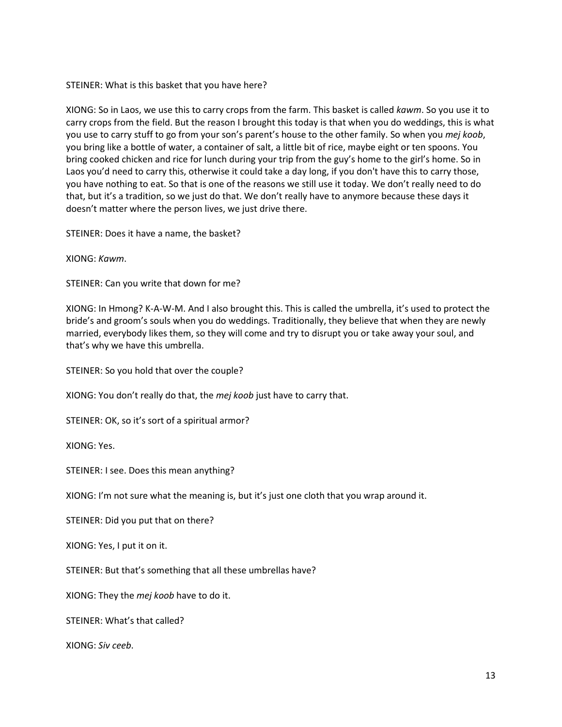STEINER: What is this basket that you have here?

XIONG: So in Laos, we use this to carry crops from the farm. This basket is called *kawm*. So you use it to carry crops from the field. But the reason I brought this today is that when you do weddings, this is what you use to carry stuff to go from your son's parent's house to the other family. So when you *mej koob*, you bring like a bottle of water, a container of salt, a little bit of rice, maybe eight or ten spoons. You bring cooked chicken and rice for lunch during your trip from the guy's home to the girl's home. So in Laos you'd need to carry this, otherwise it could take a day long, if you don't have this to carry those, you have nothing to eat. So that is one of the reasons we still use it today. We don't really need to do that, but it's a tradition, so we just do that. We don't really have to anymore because these days it doesn't matter where the person lives, we just drive there.

STEINER: Does it have a name, the basket?

XIONG: *Kawm*.

STEINER: Can you write that down for me?

XIONG: In Hmong? K-A-W-M. And I also brought this. This is called the umbrella, it's used to protect the bride's and groom's souls when you do weddings. Traditionally, they believe that when they are newly married, everybody likes them, so they will come and try to disrupt you or take away your soul, and that's why we have this umbrella.

STEINER: So you hold that over the couple?

XIONG: You don't really do that, the *mej koob* just have to carry that.

STEINER: OK, so it's sort of a spiritual armor?

XIONG: Yes.

STEINER: I see. Does this mean anything?

XIONG: I'm not sure what the meaning is, but it's just one cloth that you wrap around it.

STEINER: Did you put that on there?

XIONG: Yes, I put it on it.

STEINER: But that's something that all these umbrellas have?

XIONG: They the *mej koob* have to do it.

STEINER: What's that called?

XIONG: *Siv ceeb*.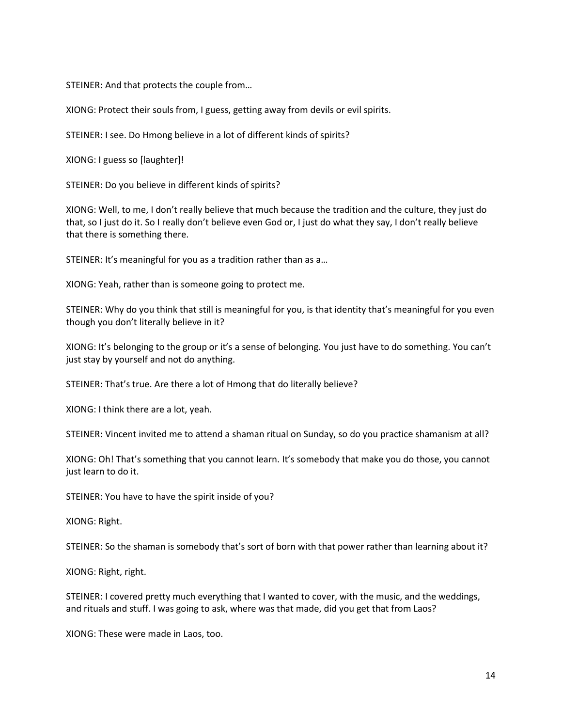STEINER: And that protects the couple from…

XIONG: Protect their souls from, I guess, getting away from devils or evil spirits.

STEINER: I see. Do Hmong believe in a lot of different kinds of spirits?

XIONG: I guess so [laughter]!

STEINER: Do you believe in different kinds of spirits?

XIONG: Well, to me, I don't really believe that much because the tradition and the culture, they just do that, so I just do it. So I really don't believe even God or, I just do what they say, I don't really believe that there is something there.

STEINER: It's meaningful for you as a tradition rather than as a…

XIONG: Yeah, rather than is someone going to protect me.

STEINER: Why do you think that still is meaningful for you, is that identity that's meaningful for you even though you don't literally believe in it?

XIONG: It's belonging to the group or it's a sense of belonging. You just have to do something. You can't just stay by yourself and not do anything.

STEINER: That's true. Are there a lot of Hmong that do literally believe?

XIONG: I think there are a lot, yeah.

STEINER: Vincent invited me to attend a shaman ritual on Sunday, so do you practice shamanism at all?

XIONG: Oh! That's something that you cannot learn. It's somebody that make you do those, you cannot just learn to do it.

STEINER: You have to have the spirit inside of you?

XIONG: Right.

STEINER: So the shaman is somebody that's sort of born with that power rather than learning about it?

XIONG: Right, right.

STEINER: I covered pretty much everything that I wanted to cover, with the music, and the weddings, and rituals and stuff. I was going to ask, where was that made, did you get that from Laos?

XIONG: These were made in Laos, too.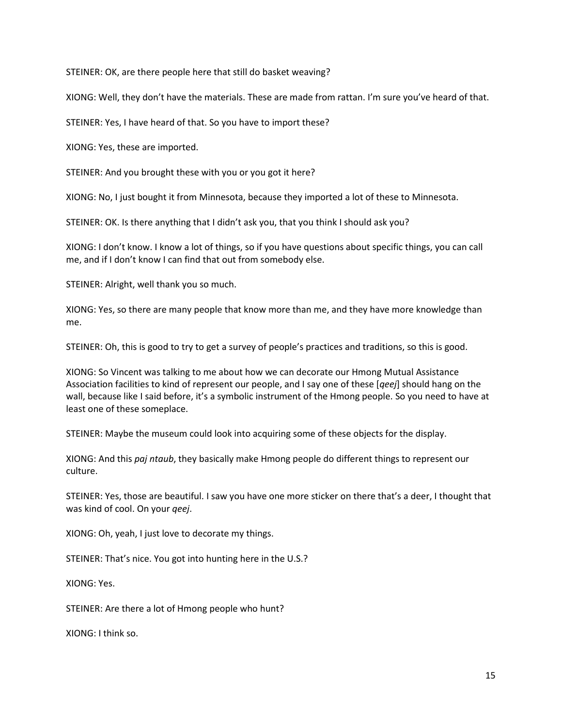STEINER: OK, are there people here that still do basket weaving?

XIONG: Well, they don't have the materials. These are made from rattan. I'm sure you've heard of that.

STEINER: Yes, I have heard of that. So you have to import these?

XIONG: Yes, these are imported.

STEINER: And you brought these with you or you got it here?

XIONG: No, I just bought it from Minnesota, because they imported a lot of these to Minnesota.

STEINER: OK. Is there anything that I didn't ask you, that you think I should ask you?

XIONG: I don't know. I know a lot of things, so if you have questions about specific things, you can call me, and if I don't know I can find that out from somebody else.

STEINER: Alright, well thank you so much.

XIONG: Yes, so there are many people that know more than me, and they have more knowledge than me.

STEINER: Oh, this is good to try to get a survey of people's practices and traditions, so this is good.

XIONG: So Vincent was talking to me about how we can decorate our Hmong Mutual Assistance Association facilities to kind of represent our people, and I say one of these [*qeej*] should hang on the wall, because like I said before, it's a symbolic instrument of the Hmong people. So you need to have at least one of these someplace.

STEINER: Maybe the museum could look into acquiring some of these objects for the display.

XIONG: And this *paj ntaub*, they basically make Hmong people do different things to represent our culture.

STEINER: Yes, those are beautiful. I saw you have one more sticker on there that's a deer, I thought that was kind of cool. On your *qeej*.

XIONG: Oh, yeah, I just love to decorate my things.

STEINER: That's nice. You got into hunting here in the U.S.?

XIONG: Yes.

STEINER: Are there a lot of Hmong people who hunt?

XIONG: I think so.